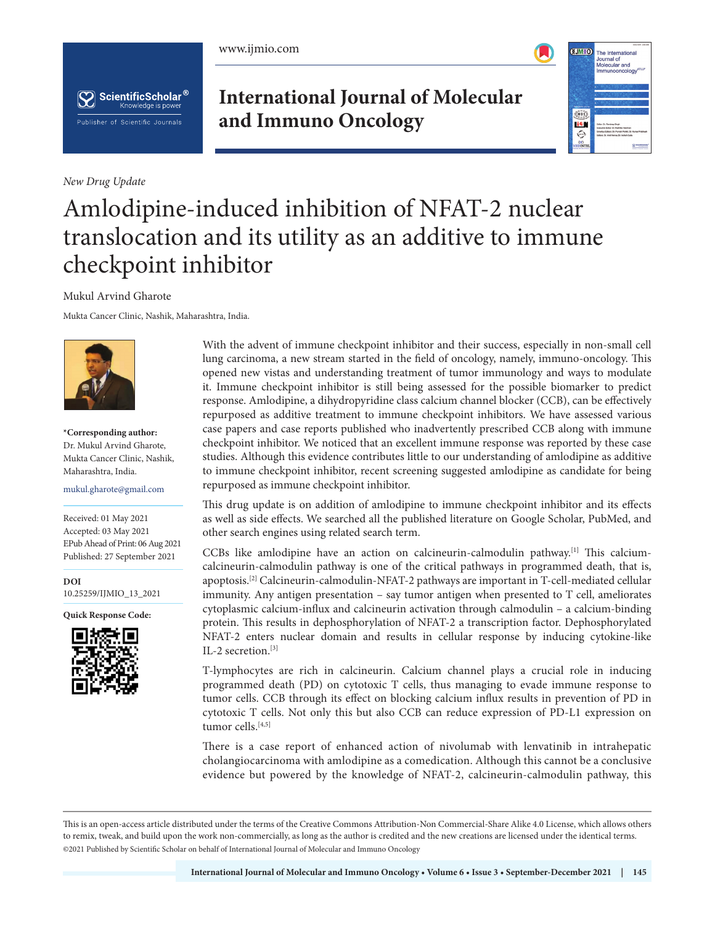





*New Drug Update*

# **International Journal of Molecular and Immuno Oncology**



# Amlodipine-induced inhibition of NFAT-2 nuclear translocation and its utility as an additive to immune checkpoint inhibitor

Mukul Arvind Gharote

Mukta Cancer Clinic, Nashik, Maharashtra, India.



**\*Corresponding author:** Dr. Mukul Arvind Gharote, Mukta Cancer Clinic, Nashik, Maharashtra, India.

mukul.gharote@gmail.com

Received: 01 May 2021 Accepted: 03 May 2021 EPub Ahead of Print: 06 Aug 2021 Published: 27 September 2021

**DOI** [10.25259/IJMIO\\_13\\_2021](https://dx.doi.org/10.25259/IJMIO_13_2021)

**Quick Response Code:**



With the advent of immune checkpoint inhibitor and their success, especially in non-small cell lung carcinoma, a new stream started in the field of oncology, namely, immuno-oncology. This opened new vistas and understanding treatment of tumor immunology and ways to modulate it. Immune checkpoint inhibitor is still being assessed for the possible biomarker to predict response. Amlodipine, a dihydropyridine class calcium channel blocker (CCB), can be effectively repurposed as additive treatment to immune checkpoint inhibitors. We have assessed various case papers and case reports published who inadvertently prescribed CCB along with immune checkpoint inhibitor. We noticed that an excellent immune response was reported by these case studies. Although this evidence contributes little to our understanding of amlodipine as additive to immune checkpoint inhibitor, recent screening suggested amlodipine as candidate for being repurposed as immune checkpoint inhibitor.

This drug update is on addition of amlodipine to immune checkpoint inhibitor and its effects as well as side effects. We searched all the published literature on Google Scholar, PubMed, and other search engines using related search term.

CCBs like amlodipine have an action on calcineurin-calmodulin pathway.<sup>[1]</sup> This calciumcalcineurin-calmodulin pathway is one of the critical pathways in programmed death, that is, apoptosis.[2] Calcineurin-calmodulin-NFAT-2 pathways are important in T-cell-mediated cellular immunity. Any antigen presentation – say tumor antigen when presented to T cell, ameliorates cytoplasmic calcium-influx and calcineurin activation through calmodulin – a calcium-binding protein. This results in dephosphorylation of NFAT-2 a transcription factor. Dephosphorylated NFAT-2 enters nuclear domain and results in cellular response by inducing cytokine-like IL-2 secretion.[3]

T-lymphocytes are rich in calcineurin. Calcium channel plays a crucial role in inducing programmed death (PD) on cytotoxic T cells, thus managing to evade immune response to tumor cells. CCB through its effect on blocking calcium influx results in prevention of PD in cytotoxic T cells. Not only this but also CCB can reduce expression of PD-L1 expression on tumor cells.<sup>[4,5]</sup>

There is a case report of enhanced action of nivolumab with lenvatinib in intrahepatic cholangiocarcinoma with amlodipine as a comedication. Although this cannot be a conclusive evidence but powered by the knowledge of NFAT-2, calcineurin-calmodulin pathway, this

This is an open-access article distributed under the terms of the Creative Commons Attribution-Non Commercial-Share Alike 4.0 License, which allows others to remix, tweak, and build upon the work non-commercially, as long as the author is credited and the new creations are licensed under the identical terms. ©2021 Published by Scientific Scholar on behalf of International Journal of Molecular and Immuno Oncology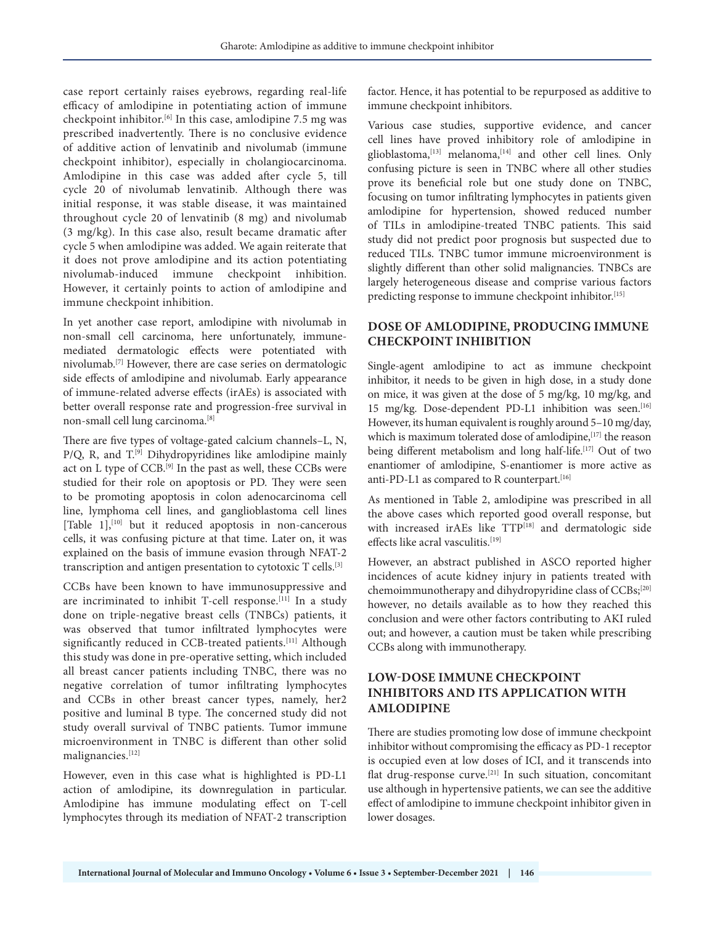case report certainly raises eyebrows, regarding real-life efficacy of amlodipine in potentiating action of immune checkpoint inhibitor.[6] In this case, amlodipine 7.5 mg was prescribed inadvertently. There is no conclusive evidence of additive action of lenvatinib and nivolumab (immune checkpoint inhibitor), especially in cholangiocarcinoma. Amlodipine in this case was added after cycle 5, till cycle 20 of nivolumab lenvatinib. Although there was initial response, it was stable disease, it was maintained throughout cycle 20 of lenvatinib (8 mg) and nivolumab (3 mg/kg). In this case also, result became dramatic after cycle 5 when amlodipine was added. We again reiterate that it does not prove amlodipine and its action potentiating nivolumab-induced immune checkpoint inhibition. However, it certainly points to action of amlodipine and immune checkpoint inhibition.

In yet another case report, amlodipine with nivolumab in non-small cell carcinoma, here unfortunately, immunemediated dermatologic effects were potentiated with nivolumab.[7] However, there are case series on dermatologic side effects of amlodipine and nivolumab. Early appearance of immune-related adverse effects (irAEs) is associated with better overall response rate and progression-free survival in non-small cell lung carcinoma.[8]

There are five types of voltage-gated calcium channels–L, N, P/Q, R, and T.<sup>[9]</sup> Dihydropyridines like amlodipine mainly act on L type of CCB.[9] In the past as well, these CCBs were studied for their role on apoptosis or PD. They were seen to be promoting apoptosis in colon adenocarcinoma cell line, lymphoma cell lines, and ganglioblastoma cell lines [Table  $1$ ],<sup>[10]</sup> but it reduced apoptosis in non-cancerous cells, it was confusing picture at that time. Later on, it was explained on the basis of immune evasion through NFAT-2 transcription and antigen presentation to cytotoxic T cells.[3]

CCBs have been known to have immunosuppressive and are incriminated to inhibit T-cell response.<sup>[11]</sup> In a study done on triple-negative breast cells (TNBCs) patients, it was observed that tumor infiltrated lymphocytes were significantly reduced in CCB-treated patients.<sup>[11]</sup> Although this study was done in pre-operative setting, which included all breast cancer patients including TNBC, there was no negative correlation of tumor infiltrating lymphocytes and CCBs in other breast cancer types, namely, her2 positive and luminal B type. The concerned study did not study overall survival of TNBC patients. Tumor immune microenvironment in TNBC is different than other solid malignancies.<sup>[12]</sup>

However, even in this case what is highlighted is PD-L1 action of amlodipine, its downregulation in particular. Amlodipine has immune modulating effect on T-cell lymphocytes through its mediation of NFAT-2 transcription

factor. Hence, it has potential to be repurposed as additive to immune checkpoint inhibitors.

Various case studies, supportive evidence, and cancer cell lines have proved inhibitory role of amlodipine in glioblastoma,<sup>[13]</sup> melanoma,<sup>[14]</sup> and other cell lines. Only confusing picture is seen in TNBC where all other studies prove its beneficial role but one study done on TNBC, focusing on tumor infiltrating lymphocytes in patients given amlodipine for hypertension, showed reduced number of TILs in amlodipine-treated TNBC patients. This said study did not predict poor prognosis but suspected due to reduced TILs. TNBC tumor immune microenvironment is slightly different than other solid malignancies. TNBCs are largely heterogeneous disease and comprise various factors predicting response to immune checkpoint inhibitor.<sup>[15]</sup>

# **DOSE OF AMLODIPINE, PRODUCING IMMUNE CHECKPOINT INHIBITION**

Single-agent amlodipine to act as immune checkpoint inhibitor, it needs to be given in high dose, in a study done on mice, it was given at the dose of 5 mg/kg, 10 mg/kg, and 15 mg/kg. Dose-dependent PD-L1 inhibition was seen.<sup>[16]</sup> However, its human equivalent is roughly around 5–10 mg/day, which is maximum tolerated dose of amlodipine, [17] the reason being different metabolism and long half-life.<sup>[17]</sup> Out of two enantiomer of amlodipine, S-enantiomer is more active as anti-PD-L1 as compared to R counterpart.<sup>[16]</sup>

As mentioned in Table 2, amlodipine was prescribed in all the above cases which reported good overall response, but with increased irAEs like TTP<sup>[18]</sup> and dermatologic side effects like acral vasculitis.[19]

However, an abstract published in ASCO reported higher incidences of acute kidney injury in patients treated with chemoimmunotherapy and dihydropyridine class of CCBs;[20] however, no details available as to how they reached this conclusion and were other factors contributing to AKI ruled out; and however, a caution must be taken while prescribing CCBs along with immunotherapy.

# **LOW-DOSE IMMUNE CHECKPOINT INHIBITORS AND ITS APPLICATION WITH AMLODIPINE**

There are studies promoting low dose of immune checkpoint inhibitor without compromising the efficacy as PD-1 receptor is occupied even at low doses of ICI, and it transcends into flat drug-response curve.[21] In such situation, concomitant use although in hypertensive patients, we can see the additive effect of amlodipine to immune checkpoint inhibitor given in lower dosages.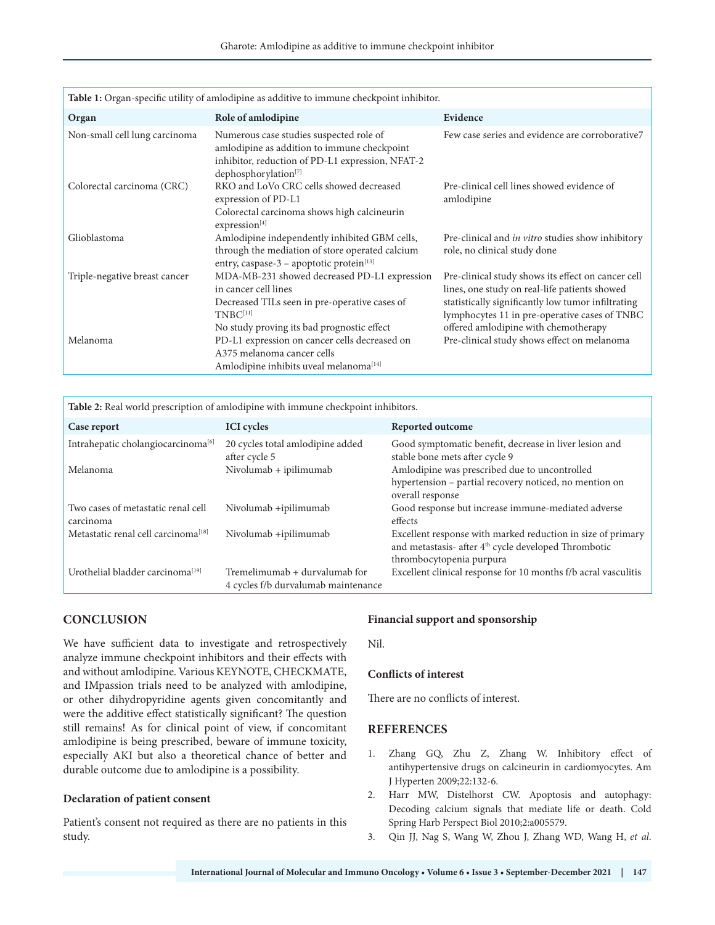| Table 1: Organ-specific utility of amlodipine as additive to immune checkpoint inhibitor. |                                                                                                                                                                                                         |                                                                                                                                                                                                                                                    |  |
|-------------------------------------------------------------------------------------------|---------------------------------------------------------------------------------------------------------------------------------------------------------------------------------------------------------|----------------------------------------------------------------------------------------------------------------------------------------------------------------------------------------------------------------------------------------------------|--|
| Organ                                                                                     | Role of amlodipine                                                                                                                                                                                      | Evidence                                                                                                                                                                                                                                           |  |
| Non-small cell lung carcinoma                                                             | Numerous case studies suspected role of<br>amlodipine as addition to immune checkpoint<br>inhibitor, reduction of PD-L1 expression, NFAT-2<br>dephosphorylation <sup>[7]</sup>                          | Few case series and evidence are corroborative7                                                                                                                                                                                                    |  |
| Colorectal carcinoma (CRC)                                                                | RKO and LoVo CRC cells showed decreased<br>expression of PD-L1<br>Colorectal carcinoma shows high calcineurin<br>expression <sup>[4]</sup>                                                              | Pre-clinical cell lines showed evidence of<br>amlodipine                                                                                                                                                                                           |  |
| Glioblastoma                                                                              | Amlodipine independently inhibited GBM cells,<br>through the mediation of store operated calcium<br>entry, caspase-3 - apoptotic protein $[13]$                                                         | Pre-clinical and <i>in vitro</i> studies show inhibitory<br>role, no clinical study done                                                                                                                                                           |  |
| Triple-negative breast cancer                                                             | MDA-MB-231 showed decreased PD-L1 expression<br>in cancer cell lines<br>Decreased TILs seen in pre-operative cases of<br>T <sub>NBC</sub> <sup>[11]</sup><br>No study proving its bad prognostic effect | Pre-clinical study shows its effect on cancer cell<br>lines, one study on real-life patients showed<br>statistically significantly low tumor infiltrating<br>lymphocytes 11 in pre-operative cases of TNBC<br>offered amlodipine with chemotherapy |  |
| Melanoma                                                                                  | PD-L1 expression on cancer cells decreased on<br>A375 melanoma cancer cells<br>Amlodipine inhibits uveal melanoma <a>[14]</a>                                                                           | Pre-clinical study shows effect on melanoma                                                                                                                                                                                                        |  |

**Table 2:** Real world prescription of amlodipine with immune checkpoint inhibitors.

| Case report                                     | <b>ICI</b> cycles                                                    | Reported outcome                                                                                                                                            |
|-------------------------------------------------|----------------------------------------------------------------------|-------------------------------------------------------------------------------------------------------------------------------------------------------------|
| Intrahepatic cholangiocarcinoma <sup>[6]</sup>  | 20 cycles total amlodipine added<br>after cycle 5                    | Good symptomatic benefit, decrease in liver lesion and<br>stable bone mets after cycle 9                                                                    |
| Melanoma                                        | Nivolumab + ipilimumab                                               | Amlodipine was prescribed due to uncontrolled<br>hypertension - partial recovery noticed, no mention on<br>overall response                                 |
| Two cases of metastatic renal cell<br>carcinoma | Nivolumab +ipilimumab                                                | Good response but increase immune-mediated adverse<br>effects                                                                                               |
| Metastatic renal cell carcinoma <sup>[18]</sup> | Nivolumab +ipilimumab                                                | Excellent response with marked reduction in size of primary<br>and metastasis- after 4 <sup>th</sup> cycle developed Thrombotic<br>thrombocytopenia purpura |
| Urothelial bladder carcinoma <sup>[19]</sup>    | Tremelimumab + durvalumab for<br>4 cycles f/b durvalumab maintenance | Excellent clinical response for 10 months f/b acral vasculitis                                                                                              |

## **CONCLUSION**

We have sufficient data to investigate and retrospectively analyze immune checkpoint inhibitors and their effects with and without amlodipine. Various KEYNOTE, CHECKMATE, and IMpassion trials need to be analyzed with amlodipine, or other dihydropyridine agents given concomitantly and were the additive effect statistically significant? The question still remains! As for clinical point of view, if concomitant amlodipine is being prescribed, beware of immune toxicity, especially AKI but also a theoretical chance of better and durable outcome due to amlodipine is a possibility.

#### **Declaration of patient consent**

Patient's consent not required as there are no patients in this study.

#### **Financial support and sponsorship**

Nil.

#### **Conflicts of interest**

There are no conflicts of interest.

### **REFERENCES**

- 1. Zhang GQ, Zhu Z, Zhang W. Inhibitory effect of antihypertensive drugs on calcineurin in cardiomyocytes. Am J Hyperten 2009;22:132-6.
- 2. Harr MW, Distelhorst CW. Apoptosis and autophagy: Decoding calcium signals that mediate life or death. Cold Spring Harb Perspect Biol 2010;2:a005579.
- 3. Qin JJ, Nag S, Wang W, Zhou J, Zhang WD, Wang H, *et al*.